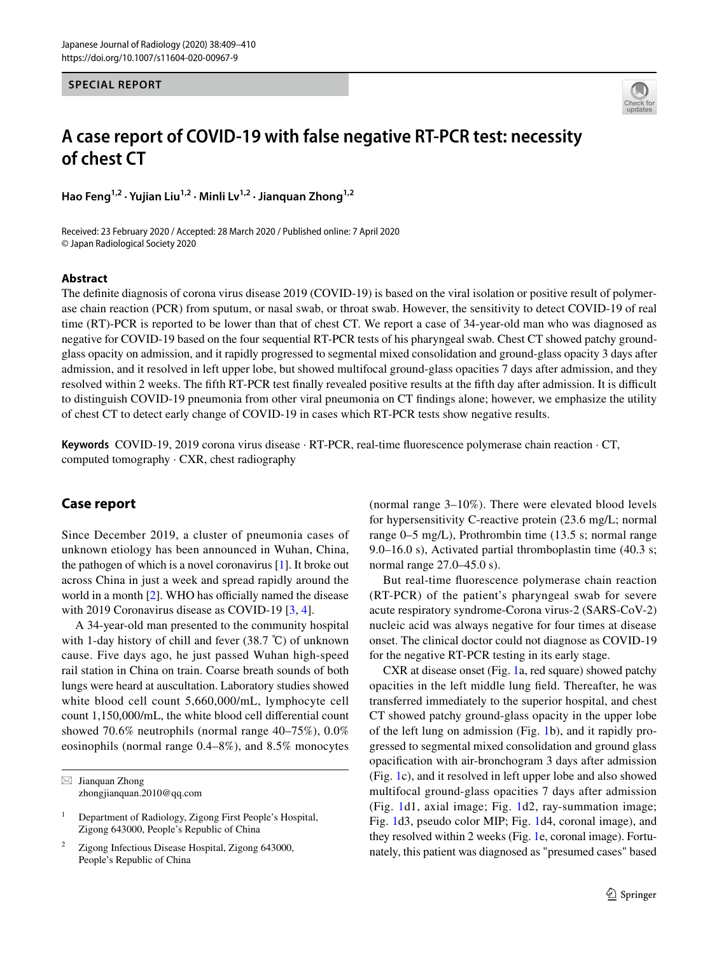### **SPECIAL REPORT**



# **A case report of COVID‑19 with false negative RT‑PCR test: necessity of chest CT**

Hao Feng<sup>1,2</sup> · Yujian Liu<sup>1,2</sup> · Minli Lv<sup>1,2</sup> · Jianguan Zhong<sup>1,2</sup>

Received: 23 February 2020 / Accepted: 28 March 2020 / Published online: 7 April 2020 © Japan Radiological Society 2020

#### **Abstract**

The defnite diagnosis of corona virus disease 2019 (COVID-19) is based on the viral isolation or positive result of polymerase chain reaction (PCR) from sputum, or nasal swab, or throat swab. However, the sensitivity to detect COVID-19 of real time (RT)-PCR is reported to be lower than that of chest CT. We report a case of 34-year-old man who was diagnosed as negative for COVID-19 based on the four sequential RT-PCR tests of his pharyngeal swab. Chest CT showed patchy groundglass opacity on admission, and it rapidly progressed to segmental mixed consolidation and ground-glass opacity 3 days after admission, and it resolved in left upper lobe, but showed multifocal ground-glass opacities 7 days after admission, and they resolved within 2 weeks. The fifth RT-PCR test finally revealed positive results at the fifth day after admission. It is difficult to distinguish COVID-19 pneumonia from other viral pneumonia on CT fndings alone; however, we emphasize the utility of chest CT to detect early change of COVID-19 in cases which RT-PCR tests show negative results.

**Keywords** COVID-19, 2019 corona virus disease · RT-PCR, real-time fuorescence polymerase chain reaction · CT, computed tomography · CXR, chest radiography

## **Case report**

Since December 2019, a cluster of pneumonia cases of unknown etiology has been announced in Wuhan, China, the pathogen of which is a novel coronavirus  $[1]$ . It broke out across China in just a week and spread rapidly around the world in a month  $[2]$  $[2]$ . WHO has officially named the disease with 2019 Coronavirus disease as COVID-19 [[3,](#page-1-2) [4\]](#page-1-3).

A 34-year-old man presented to the community hospital with 1-day history of chill and fever (38.7 ℃) of unknown cause. Five days ago, he just passed Wuhan high-speed rail station in China on train. Coarse breath sounds of both lungs were heard at auscultation. Laboratory studies showed white blood cell count 5,660,000/mL, lymphocyte cell count 1,150,000/mL, the white blood cell diferential count showed 70.6% neutrophils (normal range 40–75%), 0.0% eosinophils (normal range 0.4–8%), and 8.5% monocytes

 $\boxtimes$  Jianquan Zhong zhongjianquan.2010@qq.com (normal range 3–10%). There were elevated blood levels for hypersensitivity C-reactive protein (23.6 mg/L; normal range 0–5 mg/L), Prothrombin time (13.5 s; normal range 9.0–16.0 s), Activated partial thromboplastin time (40.3 s; normal range 27.0–45.0 s).

But real-time fuorescence polymerase chain reaction (RT-PCR) of the patient's pharyngeal swab for severe acute respiratory syndrome-Corona virus-2 (SARS-CoV-2) nucleic acid was always negative for four times at disease onset. The clinical doctor could not diagnose as COVID-19 for the negative RT-PCR testing in its early stage.

CXR at disease onset (Fig. [1](#page-1-4)a, red square) showed patchy opacities in the left middle lung feld. Thereafter, he was transferred immediately to the superior hospital, and chest CT showed patchy ground-glass opacity in the upper lobe of the left lung on admission (Fig. [1b](#page-1-4)), and it rapidly progressed to segmental mixed consolidation and ground glass opacifcation with air-bronchogram 3 days after admission (Fig. [1c](#page-1-4)), and it resolved in left upper lobe and also showed multifocal ground-glass opacities 7 days after admission (Fig. [1](#page-1-4)d1, axial image; Fig. [1d](#page-1-4)2, ray-summation image; Fig. [1d](#page-1-4)3, pseudo color MIP; Fig. [1d](#page-1-4)4, coronal image), and they resolved within 2 weeks (Fig. [1](#page-1-4)e, coronal image). Fortunately, this patient was diagnosed as "presumed cases" based

<sup>&</sup>lt;sup>1</sup> Department of Radiology, Zigong First People's Hospital, Zigong 643000, People's Republic of China

<sup>2</sup> Zigong Infectious Disease Hospital, Zigong 643000, People's Republic of China